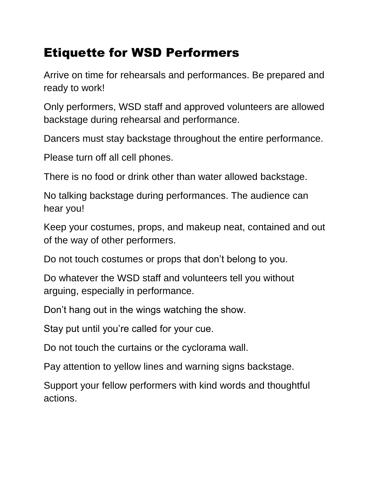## Etiquette for WSD Performers

Arrive on time for rehearsals and performances. Be prepared and ready to work!

Only performers, WSD staff and approved volunteers are allowed backstage during rehearsal and performance.

Dancers must stay backstage throughout the entire performance.

Please turn off all cell phones.

There is no food or drink other than water allowed backstage.

No talking backstage during performances. The audience can hear you!

Keep your costumes, props, and makeup neat, contained and out of the way of other performers.

Do not touch costumes or props that don't belong to you.

Do whatever the WSD staff and volunteers tell you without arguing, especially in performance.

Don't hang out in the wings watching the show.

Stay put until you're called for your cue.

Do not touch the curtains or the cyclorama wall.

Pay attention to yellow lines and warning signs backstage.

Support your fellow performers with kind words and thoughtful actions.